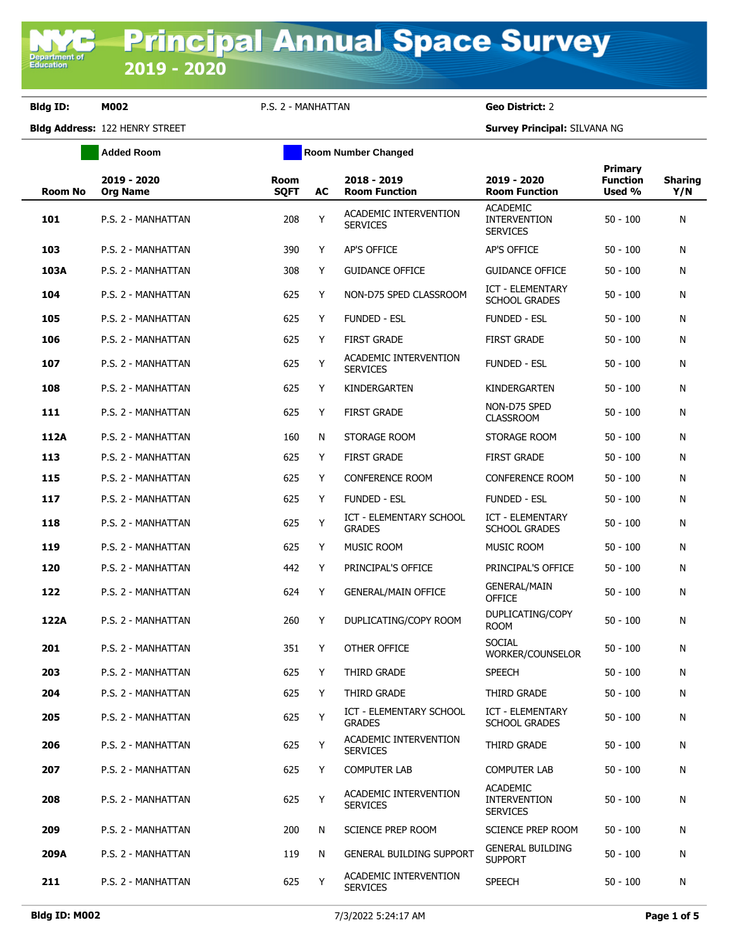**Department of**<br>Education

**Bldg ID: M002** P.S. 2 - MANHATTAN **Geo District:** 2

**Added Room Room Room Number Changed** 

**Bldg Address:** 122 HENRY STREET **Survey Principal:** SILVANA NG

| <b>Room No</b> | 2019 - 2020<br><b>Org Name</b> | Room<br><b>SQFT</b> | AC | 2018 - 2019<br><b>Room Function</b>             | 2019 - 2020<br><b>Room Function</b>                       | Primary<br><b>Function</b><br>Used % | <b>Sharing</b><br>Y/N |
|----------------|--------------------------------|---------------------|----|-------------------------------------------------|-----------------------------------------------------------|--------------------------------------|-----------------------|
| 101            | P.S. 2 - MANHATTAN             | 208                 | Y  | ACADEMIC INTERVENTION<br><b>SERVICES</b>        | <b>ACADEMIC</b><br><b>INTERVENTION</b><br><b>SERVICES</b> | $50 - 100$                           | N                     |
| 103            | P.S. 2 - MANHATTAN             | 390                 | Y  | <b>AP'S OFFICE</b>                              | AP'S OFFICE                                               | $50 - 100$                           | N                     |
| 103A           | P.S. 2 - MANHATTAN             | 308                 | Y  | <b>GUIDANCE OFFICE</b>                          | <b>GUIDANCE OFFICE</b>                                    | $50 - 100$                           | N                     |
| 104            | P.S. 2 - MANHATTAN             | 625                 | Y  | NON-D75 SPED CLASSROOM                          | <b>ICT - ELEMENTARY</b><br><b>SCHOOL GRADES</b>           | $50 - 100$                           | N                     |
| 105            | P.S. 2 - MANHATTAN             | 625                 | Y  | <b>FUNDED - ESL</b>                             | <b>FUNDED - ESL</b>                                       | $50 - 100$                           | N                     |
| 106            | P.S. 2 - MANHATTAN             | 625                 | Y  | <b>FIRST GRADE</b>                              | <b>FIRST GRADE</b>                                        | $50 - 100$                           | N                     |
| 107            | P.S. 2 - MANHATTAN             | 625                 | Y  | ACADEMIC INTERVENTION<br><b>SERVICES</b>        | <b>FUNDED - ESL</b>                                       | $50 - 100$                           | N                     |
| 108            | P.S. 2 - MANHATTAN             | 625                 | Y  | KINDERGARTEN                                    | KINDERGARTEN                                              | $50 - 100$                           | N                     |
| 111            | P.S. 2 - MANHATTAN             | 625                 | Y  | <b>FIRST GRADE</b>                              | NON-D75 SPED<br><b>CLASSROOM</b>                          | $50 - 100$                           | N                     |
| 112A           | P.S. 2 - MANHATTAN             | 160                 | N  | STORAGE ROOM                                    | STORAGE ROOM                                              | $50 - 100$                           | N                     |
| 113            | P.S. 2 - MANHATTAN             | 625                 | Y  | <b>FIRST GRADE</b>                              | <b>FIRST GRADE</b>                                        | $50 - 100$                           | N                     |
| 115            | P.S. 2 - MANHATTAN             | 625                 | Y  | CONFERENCE ROOM                                 | <b>CONFERENCE ROOM</b>                                    | $50 - 100$                           | N                     |
| 117            | P.S. 2 - MANHATTAN             | 625                 | Y  | <b>FUNDED - ESL</b>                             | <b>FUNDED - ESL</b>                                       | $50 - 100$                           | N                     |
| 118            | P.S. 2 - MANHATTAN             | 625                 | Y  | ICT - ELEMENTARY SCHOOL<br><b>GRADES</b>        | ICT - ELEMENTARY<br><b>SCHOOL GRADES</b>                  | 50 - 100                             | N                     |
| 119            | P.S. 2 - MANHATTAN             | 625                 | Y  | MUSIC ROOM                                      | MUSIC ROOM                                                | $50 - 100$                           | N                     |
| 120            | P.S. 2 - MANHATTAN             | 442                 | Y  | PRINCIPAL'S OFFICE                              | PRINCIPAL'S OFFICE                                        | $50 - 100$                           | N                     |
| 122            | P.S. 2 - MANHATTAN             | 624                 | Y  | <b>GENERAL/MAIN OFFICE</b>                      | <b>GENERAL/MAIN</b><br><b>OFFICE</b>                      | $50 - 100$                           | N                     |
| 122A           | P.S. 2 - MANHATTAN             | 260                 | Y  | DUPLICATING/COPY ROOM                           | DUPLICATING/COPY<br><b>ROOM</b>                           | $50 - 100$                           | N                     |
| 201            | P.S. 2 - MANHATTAN             | 351                 | Y  | OTHER OFFICE                                    | <b>SOCIAL</b><br>WORKER/COUNSELOR                         | $50 - 100$                           | N                     |
| 203            | P.S. 2 - MANHATTAN             | 625                 | Y  | THIRD GRADE                                     | <b>SPEECH</b>                                             | $50 - 100$                           | N                     |
| 204            | P.S. 2 - MANHATTAN             | 625                 | Y  | THIRD GRADE                                     | THIRD GRADE                                               | $50 - 100$                           | N                     |
| 205            | P.S. 2 - MANHATTAN             | 625                 | Y  | ICT - ELEMENTARY SCHOOL<br><b>GRADES</b>        | ICT - ELEMENTARY<br><b>SCHOOL GRADES</b>                  | $50 - 100$                           | Ν                     |
| 206            | P.S. 2 - MANHATTAN             | 625                 | Y  | ACADEMIC INTERVENTION<br><b>SERVICES</b>        | THIRD GRADE                                               | $50 - 100$                           | N                     |
| 207            | P.S. 2 - MANHATTAN             | 625                 | Y  | <b>COMPUTER LAB</b>                             | <b>COMPUTER LAB</b>                                       | $50 - 100$                           | N                     |
| 208            | P.S. 2 - MANHATTAN             | 625                 | Y  | <b>ACADEMIC INTERVENTION</b><br><b>SERVICES</b> | <b>ACADEMIC</b><br><b>INTERVENTION</b><br><b>SERVICES</b> | $50 - 100$                           | N                     |
| 209            | P.S. 2 - MANHATTAN             | 200                 | N  | SCIENCE PREP ROOM                               | <b>SCIENCE PREP ROOM</b>                                  | $50 - 100$                           | N                     |
| 209A           | P.S. 2 - MANHATTAN             | 119                 | N  | <b>GENERAL BUILDING SUPPORT</b>                 | <b>GENERAL BUILDING</b><br><b>SUPPORT</b>                 | $50 - 100$                           | N                     |
| 211            | P.S. 2 - MANHATTAN             | 625                 | Y  | ACADEMIC INTERVENTION<br><b>SERVICES</b>        | <b>SPEECH</b>                                             | $50 - 100$                           | N                     |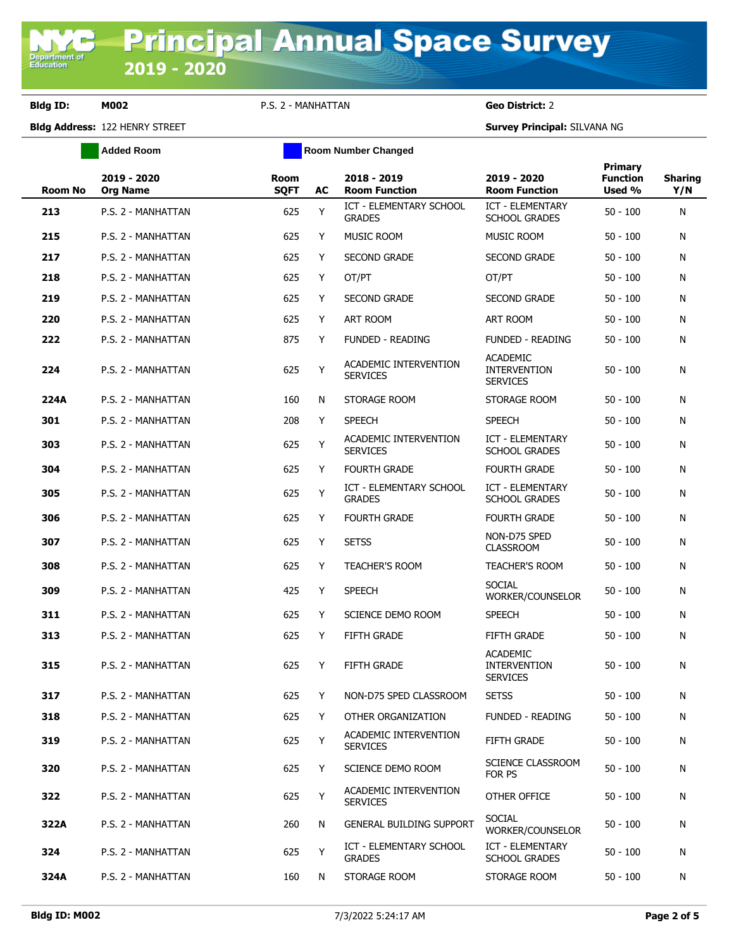**Bldg ID: M002** P.S. 2 - MANHATTAN **Geo District:** 2

**Added Room Room Room Number Changed** 

**Bldg Address:** 122 HENRY STREET **Survey Principal:** SILVANA NG

| <b>Room No</b> | 2019 - 2020<br><b>Org Name</b> | Room<br><b>SQFT</b> | AC | 2018 - 2019<br><b>Room Function</b>             | 2019 - 2020<br><b>Room Function</b>                       | <b>Primary</b><br><b>Function</b><br>Used % | <b>Sharing</b><br>Y/N |
|----------------|--------------------------------|---------------------|----|-------------------------------------------------|-----------------------------------------------------------|---------------------------------------------|-----------------------|
| 213            | P.S. 2 - MANHATTAN             | 625                 | Y  | ICT - ELEMENTARY SCHOOL<br><b>GRADES</b>        | ICT - ELEMENTARY<br><b>SCHOOL GRADES</b>                  | $50 - 100$                                  | N                     |
| 215            | P.S. 2 - MANHATTAN             | 625                 | Y  | <b>MUSIC ROOM</b>                               | <b>MUSIC ROOM</b>                                         | $50 - 100$                                  | N                     |
| 217            | P.S. 2 - MANHATTAN             | 625                 | Y  | <b>SECOND GRADE</b>                             | <b>SECOND GRADE</b>                                       | $50 - 100$                                  | N                     |
| 218            | P.S. 2 - MANHATTAN             | 625                 | Y  | OT/PT                                           | OT/PT                                                     | $50 - 100$                                  | N                     |
| 219            | P.S. 2 - MANHATTAN             | 625                 | Y  | <b>SECOND GRADE</b>                             | <b>SECOND GRADE</b>                                       | $50 - 100$                                  | N                     |
| 220            | P.S. 2 - MANHATTAN             | 625                 | Y  | ART ROOM                                        | ART ROOM                                                  | $50 - 100$                                  | N                     |
| 222            | P.S. 2 - MANHATTAN             | 875                 | Y  | <b>FUNDED - READING</b>                         | <b>FUNDED - READING</b>                                   | $50 - 100$                                  | N                     |
| 224            | P.S. 2 - MANHATTAN             | 625                 | Y  | ACADEMIC INTERVENTION<br><b>SERVICES</b>        | <b>ACADEMIC</b><br><b>INTERVENTION</b><br><b>SERVICES</b> | $50 - 100$                                  | N                     |
| 224A           | P.S. 2 - MANHATTAN             | 160                 | N  | STORAGE ROOM                                    | STORAGE ROOM                                              | $50 - 100$                                  | N                     |
| 301            | P.S. 2 - MANHATTAN             | 208                 | Y  | <b>SPEECH</b>                                   | <b>SPEECH</b>                                             | $50 - 100$                                  | N                     |
| 303            | P.S. 2 - MANHATTAN             | 625                 | Y  | ACADEMIC INTERVENTION<br><b>SERVICES</b>        | <b>ICT - ELEMENTARY</b><br><b>SCHOOL GRADES</b>           | $50 - 100$                                  | N                     |
| 304            | P.S. 2 - MANHATTAN             | 625                 | Y  | <b>FOURTH GRADE</b>                             | <b>FOURTH GRADE</b>                                       | $50 - 100$                                  | N                     |
| 305            | P.S. 2 - MANHATTAN             | 625                 | Y  | <b>ICT - ELEMENTARY SCHOOL</b><br><b>GRADES</b> | ICT - ELEMENTARY<br><b>SCHOOL GRADES</b>                  | $50 - 100$                                  | N                     |
| 306            | P.S. 2 - MANHATTAN             | 625                 | Y  | <b>FOURTH GRADE</b>                             | <b>FOURTH GRADE</b>                                       | $50 - 100$                                  | Ν                     |
| 307            | P.S. 2 - MANHATTAN             | 625                 | Y  | <b>SETSS</b>                                    | NON-D75 SPED<br><b>CLASSROOM</b>                          | $50 - 100$                                  | N                     |
| 308            | P.S. 2 - MANHATTAN             | 625                 | Y  | <b>TEACHER'S ROOM</b>                           | <b>TEACHER'S ROOM</b>                                     | $50 - 100$                                  | N                     |
| 309            | P.S. 2 - MANHATTAN             | 425                 | Y  | <b>SPEECH</b>                                   | <b>SOCIAL</b><br>WORKER/COUNSELOR                         | $50 - 100$                                  | N                     |
| 311            | P.S. 2 - MANHATTAN             | 625                 | Y  | SCIENCE DEMO ROOM                               | <b>SPEECH</b>                                             | $50 - 100$                                  | N                     |
| 313            | P.S. 2 - MANHATTAN             | 625                 | Y  | <b>FIFTH GRADE</b>                              | <b>FIFTH GRADE</b>                                        | $50 - 100$                                  | N                     |
| 315            | P.S. 2 - MANHATTAN             | 625                 | Y  | <b>FIFTH GRADE</b>                              | <b>ACADEMIC</b><br><b>INTERVENTION</b><br><b>SERVICES</b> | $50 - 100$                                  | N                     |
| 317            | P.S. 2 - MANHATTAN             | 625                 | Y  | NON-D75 SPED CLASSROOM                          | <b>SETSS</b>                                              | $50 - 100$                                  | N                     |
| 318            | P.S. 2 - MANHATTAN             | 625                 | Y  | OTHER ORGANIZATION                              | FUNDED - READING                                          | $50 - 100$                                  | N                     |
| 319            | P.S. 2 - MANHATTAN             | 625                 | Y  | ACADEMIC INTERVENTION<br><b>SERVICES</b>        | FIFTH GRADE                                               | $50 - 100$                                  | Ν                     |
| 320            | P.S. 2 - MANHATTAN             | 625                 | Y  | SCIENCE DEMO ROOM                               | SCIENCE CLASSROOM<br>FOR PS                               | $50 - 100$                                  | N                     |
| 322            | P.S. 2 - MANHATTAN             | 625                 | Y  | ACADEMIC INTERVENTION<br><b>SERVICES</b>        | OTHER OFFICE                                              | $50 - 100$                                  | N                     |
| 322A           | P.S. 2 - MANHATTAN             | 260                 | N  | <b>GENERAL BUILDING SUPPORT</b>                 | <b>SOCIAL</b><br>WORKER/COUNSELOR                         | $50 - 100$                                  | N                     |
| 324            | P.S. 2 - MANHATTAN             | 625                 | Y  | ICT - ELEMENTARY SCHOOL<br><b>GRADES</b>        | <b>ICT - ELEMENTARY</b><br><b>SCHOOL GRADES</b>           | $50 - 100$                                  | Ν                     |
| 324A           | P.S. 2 - MANHATTAN             | 160                 | N  | STORAGE ROOM                                    | STORAGE ROOM                                              | $50 - 100$                                  | N                     |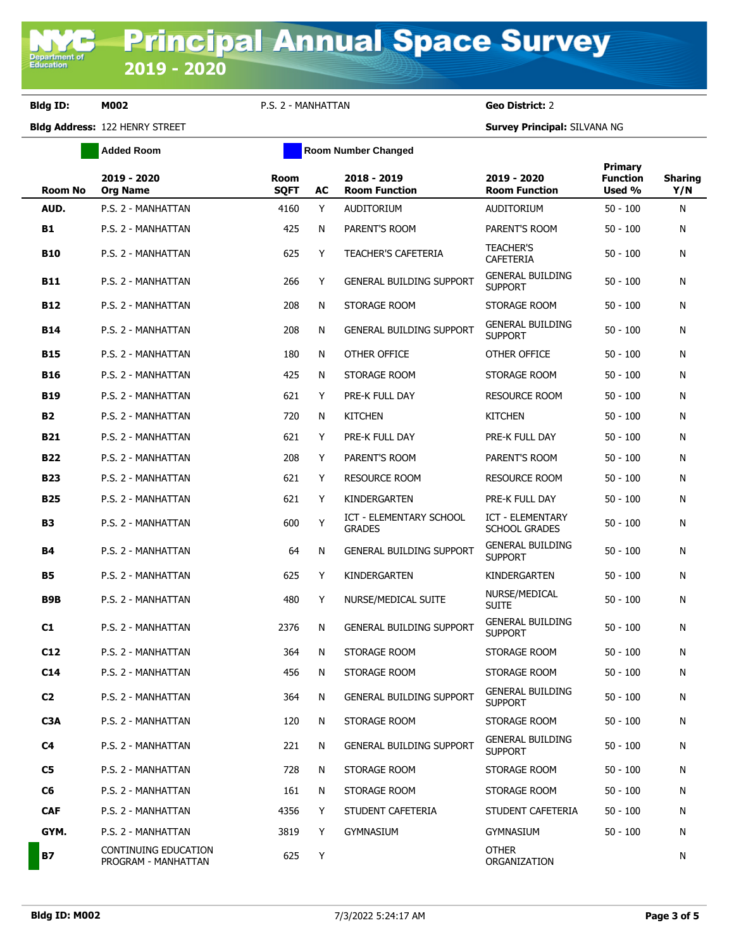**Bldg ID: M002** P.S. 2 - MANHATTAN **Geo District:** 2

**Bldg Address:** 122 HENRY STREET **Survey Principal:** SILVANA NG

|                | <b>Added Room</b>                           |                            | <b>Room Number Changed</b> |                                          |                                           |                                      |                       |
|----------------|---------------------------------------------|----------------------------|----------------------------|------------------------------------------|-------------------------------------------|--------------------------------------|-----------------------|
| Room No        | 2019 - 2020<br><b>Org Name</b>              | <b>Room</b><br><b>SQFT</b> | AC                         | 2018 - 2019<br><b>Room Function</b>      | 2019 - 2020<br><b>Room Function</b>       | Primary<br><b>Function</b><br>Used % | <b>Sharing</b><br>Y/N |
| AUD.           | P.S. 2 - MANHATTAN                          | 4160                       | Y                          | <b>AUDITORIUM</b>                        | <b>AUDITORIUM</b>                         | $50 - 100$                           | N                     |
| <b>B1</b>      | P.S. 2 - MANHATTAN                          | 425                        | N                          | PARENT'S ROOM                            | PARENT'S ROOM                             | $50 - 100$                           | N                     |
| <b>B10</b>     | P.S. 2 - MANHATTAN                          | 625                        | Y                          | TEACHER'S CAFETERIA                      | <b>TEACHER'S</b><br><b>CAFETERIA</b>      | $50 - 100$                           | N                     |
| <b>B11</b>     | P.S. 2 - MANHATTAN                          | 266                        | Y                          | <b>GENERAL BUILDING SUPPORT</b>          | <b>GENERAL BUILDING</b><br><b>SUPPORT</b> | $50 - 100$                           | N                     |
| <b>B12</b>     | P.S. 2 - MANHATTAN                          | 208                        | N                          | STORAGE ROOM                             | STORAGE ROOM                              | $50 - 100$                           | N                     |
| B14            | P.S. 2 - MANHATTAN                          | 208                        | N                          | <b>GENERAL BUILDING SUPPORT</b>          | <b>GENERAL BUILDING</b><br><b>SUPPORT</b> | $50 - 100$                           | N                     |
| <b>B15</b>     | P.S. 2 - MANHATTAN                          | 180                        | N                          | OTHER OFFICE                             | OTHER OFFICE                              | $50 - 100$                           | N                     |
| <b>B16</b>     | P.S. 2 - MANHATTAN                          | 425                        | N                          | STORAGE ROOM                             | STORAGE ROOM                              | $50 - 100$                           | N                     |
| <b>B19</b>     | P.S. 2 - MANHATTAN                          | 621                        | Y                          | PRE-K FULL DAY                           | <b>RESOURCE ROOM</b>                      | $50 - 100$                           | N                     |
| <b>B2</b>      | P.S. 2 - MANHATTAN                          | 720                        | N                          | <b>KITCHEN</b>                           | <b>KITCHEN</b>                            | $50 - 100$                           | N                     |
| B21            | P.S. 2 - MANHATTAN                          | 621                        | Y                          | PRE-K FULL DAY                           | PRE-K FULL DAY                            | $50 - 100$                           | N                     |
| <b>B22</b>     | P.S. 2 - MANHATTAN                          | 208                        | Y                          | PARENT'S ROOM                            | PARENT'S ROOM                             | $50 - 100$                           | N                     |
| <b>B23</b>     | P.S. 2 - MANHATTAN                          | 621                        | Y                          | <b>RESOURCE ROOM</b>                     | <b>RESOURCE ROOM</b>                      | $50 - 100$                           | N                     |
| <b>B25</b>     | P.S. 2 - MANHATTAN                          | 621                        | Y                          | KINDERGARTEN                             | PRE-K FULL DAY                            | $50 - 100$                           | N                     |
| <b>B3</b>      | P.S. 2 - MANHATTAN                          | 600                        | Υ                          | ICT - ELEMENTARY SCHOOL<br><b>GRADES</b> | ICT - ELEMENTARY<br><b>SCHOOL GRADES</b>  | $50 - 100$                           | N                     |
| B4             | P.S. 2 - MANHATTAN                          | 64                         | N                          | <b>GENERAL BUILDING SUPPORT</b>          | <b>GENERAL BUILDING</b><br><b>SUPPORT</b> | $50 - 100$                           | N                     |
| <b>B5</b>      | P.S. 2 - MANHATTAN                          | 625                        | Y                          | KINDERGARTEN                             | KINDERGARTEN                              | $50 - 100$                           | N                     |
| B9B            | P.S. 2 - MANHATTAN                          | 480                        | Y                          | NURSE/MEDICAL SUITE                      | NURSE/MEDICAL<br><b>SUITE</b>             | $50 - 100$                           | N                     |
| C1             | P.S. 2 - MANHATTAN                          | 2376                       | N                          | <b>GENERAL BUILDING SUPPORT</b>          | <b>GENERAL BUILDING</b><br><b>SUPPORT</b> | $50 - 100$                           | N                     |
| C12            | P.S. 2 - MANHATTAN                          | 364                        | N                          | STORAGE ROOM                             | STORAGE ROOM                              | $50 - 100$                           | N                     |
| C14            | P.S. 2 - MANHATTAN                          | 456                        | N                          | STORAGE ROOM                             | STORAGE ROOM                              | $50 - 100$                           | N                     |
| C <sub>2</sub> | P.S. 2 - MANHATTAN                          | 364                        | N                          | <b>GENERAL BUILDING SUPPORT</b>          | <b>GENERAL BUILDING</b><br><b>SUPPORT</b> | $50 - 100$                           | N                     |
| C3A            | P.S. 2 - MANHATTAN                          | 120                        | N                          | STORAGE ROOM                             | STORAGE ROOM                              | $50 - 100$                           | N                     |
| C <sub>4</sub> | P.S. 2 - MANHATTAN                          | 221                        | N                          | <b>GENERAL BUILDING SUPPORT</b>          | <b>GENERAL BUILDING</b><br><b>SUPPORT</b> | $50 - 100$                           | N                     |
| C <sub>5</sub> | P.S. 2 - MANHATTAN                          | 728                        | N                          | STORAGE ROOM                             | STORAGE ROOM                              | $50 - 100$                           | N                     |
| C <sub>6</sub> | P.S. 2 - MANHATTAN                          | 161                        | N                          | STORAGE ROOM                             | STORAGE ROOM                              | $50 - 100$                           | N                     |
| <b>CAF</b>     | P.S. 2 - MANHATTAN                          | 4356                       | Y                          | STUDENT CAFETERIA                        | STUDENT CAFETERIA                         | $50 - 100$                           | N                     |
| GYM.           | P.S. 2 - MANHATTAN                          | 3819                       | Y                          | <b>GYMNASIUM</b>                         | <b>GYMNASIUM</b>                          | $50 - 100$                           | N                     |
| <b>B7</b>      | CONTINUING EDUCATION<br>PROGRAM - MANHATTAN | 625                        | Y                          |                                          | <b>OTHER</b><br>ORGANIZATION              |                                      | N                     |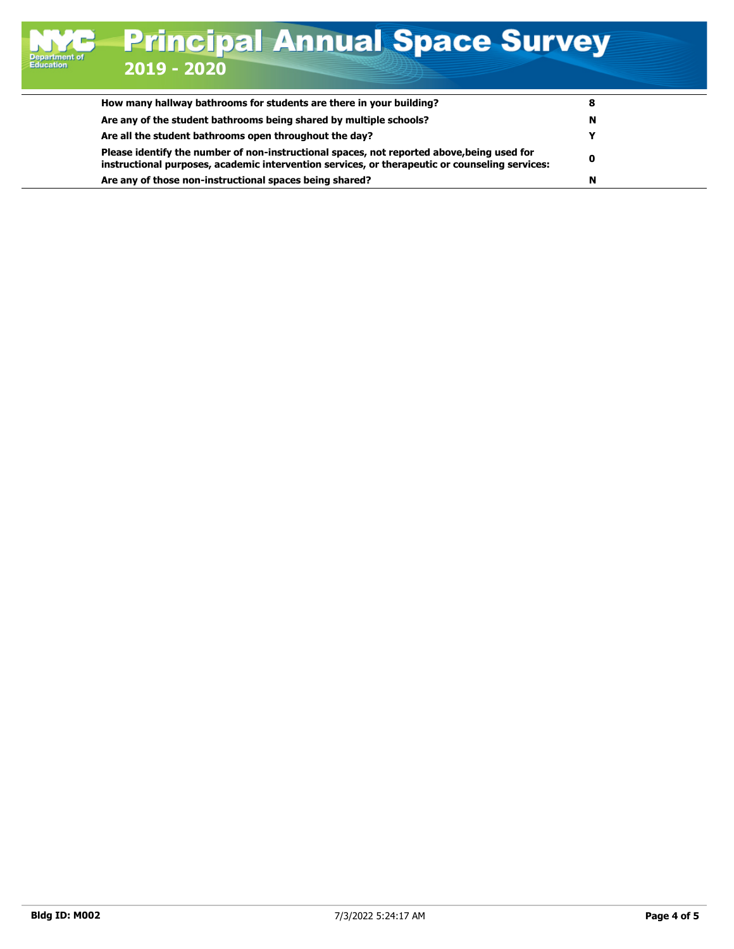| How many hallway bathrooms for students are there in your building?                                                                                                                          |   |  |
|----------------------------------------------------------------------------------------------------------------------------------------------------------------------------------------------|---|--|
| Are any of the student bathrooms being shared by multiple schools?                                                                                                                           | N |  |
| Are all the student bathrooms open throughout the day?                                                                                                                                       |   |  |
| Please identify the number of non-instructional spaces, not reported above, being used for<br>instructional purposes, academic intervention services, or therapeutic or counseling services: | 0 |  |
| Are any of those non-instructional spaces being shared?                                                                                                                                      | N |  |